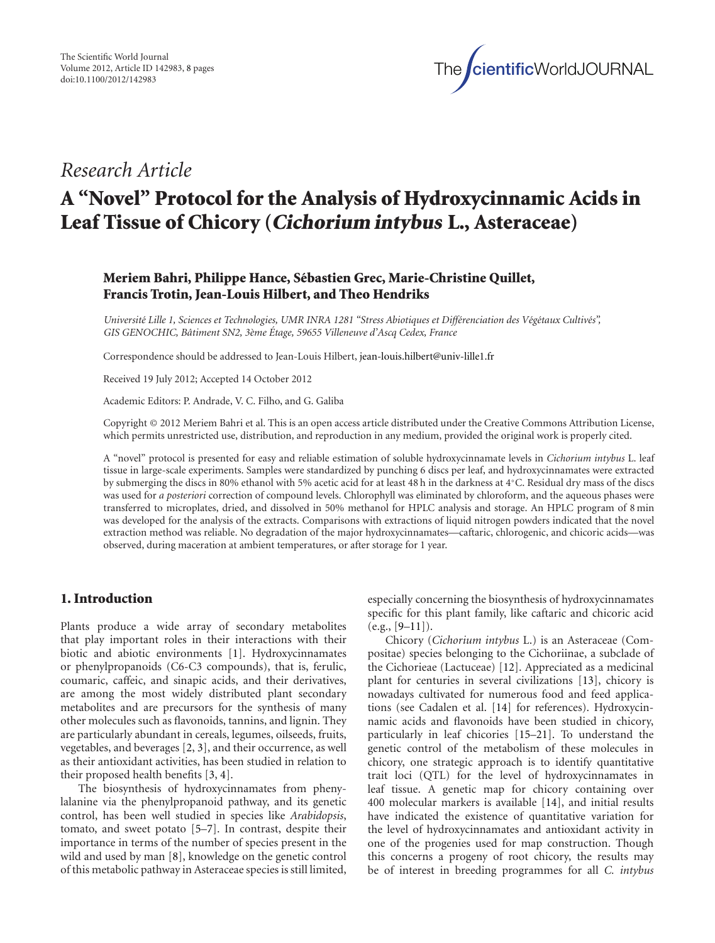

# *Research Article*

# **A "Novel" Protocol for the Analysis of Hydroxycinnamic Acids in Leaf Tissue of Chicory (Cichorium intybus L., Asteraceae)**

# **Meriem Bahri, Philippe Hance, Sebastien Grec, Marie-Christine Quillet, ´ Francis Trotin, Jean-Louis Hilbert, and Theo Hendriks**

*Universit´e Lille 1, Sciences et Technologies, UMR INRA 1281 "Stress Abiotiques et Diff´erenciation des V´eg´etaux Cultiv´es", GIS GENOCHIC, Batiment SN2, 3 ˆ `eme Etage, 59655 Villeneuve d'Ascq Cedex, France ´*

Correspondence should be addressed to Jean-Louis Hilbert, jean-louis.hilbert@univ-lille1.fr

Received 19 July 2012; Accepted 14 October 2012

Academic Editors: P. Andrade, V. C. Filho, and G. Galiba

Copyright © 2012 Meriem Bahri et al. This is an open access article distributed under the Creative Commons Attribution License, which permits unrestricted use, distribution, and reproduction in any medium, provided the original work is properly cited.

A "novel" protocol is presented for easy and reliable estimation of soluble hydroxycinnamate levels in *Cichorium intybus* L. leaf tissue in large-scale experiments. Samples were standardized by punching 6 discs per leaf, and hydroxycinnamates were extracted by submerging the discs in 80% ethanol with 5% acetic acid for at least 48 h in the darkness at 4◦C. Residual dry mass of the discs was used for *a posteriori* correction of compound levels. Chlorophyll was eliminated by chloroform, and the aqueous phases were transferred to microplates, dried, and dissolved in 50% methanol for HPLC analysis and storage. An HPLC program of 8 min was developed for the analysis of the extracts. Comparisons with extractions of liquid nitrogen powders indicated that the novel extraction method was reliable. No degradation of the major hydroxycinnamates—caftaric, chlorogenic, and chicoric acids—was observed, during maceration at ambient temperatures, or after storage for 1 year.

## **1. Introduction**

Plants produce a wide array of secondary metabolites that play important roles in their interactions with their biotic and abiotic environments [1]. Hydroxycinnamates or phenylpropanoids (C6-C3 compounds), that is, ferulic, coumaric, caffeic, and sinapic acids, and their derivatives, are among the most widely distributed plant secondary metabolites and are precursors for the synthesis of many other molecules such as flavonoids, tannins, and lignin. They are particularly abundant in cereals, legumes, oilseeds, fruits, vegetables, and beverages [2, 3], and their occurrence, as well as their antioxidant activities, has been studied in relation to their proposed health benefits [3, 4].

The biosynthesis of hydroxycinnamates from phenylalanine via the phenylpropanoid pathway, and its genetic control, has been well studied in species like *Arabidopsis*, tomato, and sweet potato [5–7]. In contrast, despite their importance in terms of the number of species present in the wild and used by man [8], knowledge on the genetic control of this metabolic pathway in Asteraceae species is still limited, especially concerning the biosynthesis of hydroxycinnamates specific for this plant family, like caftaric and chicoric acid  $(e.g., [9-11]).$ 

Chicory (*Cichorium intybus* L.) is an Asteraceae (Compositae) species belonging to the Cichoriinae, a subclade of the Cichorieae (Lactuceae) [12]. Appreciated as a medicinal plant for centuries in several civilizations [13], chicory is nowadays cultivated for numerous food and feed applications (see Cadalen et al. [14] for references). Hydroxycinnamic acids and flavonoids have been studied in chicory, particularly in leaf chicories [15–21]. To understand the genetic control of the metabolism of these molecules in chicory, one strategic approach is to identify quantitative trait loci (QTL) for the level of hydroxycinnamates in leaf tissue. A genetic map for chicory containing over 400 molecular markers is available [14], and initial results have indicated the existence of quantitative variation for the level of hydroxycinnamates and antioxidant activity in one of the progenies used for map construction. Though this concerns a progeny of root chicory, the results may be of interest in breeding programmes for all *C. intybus*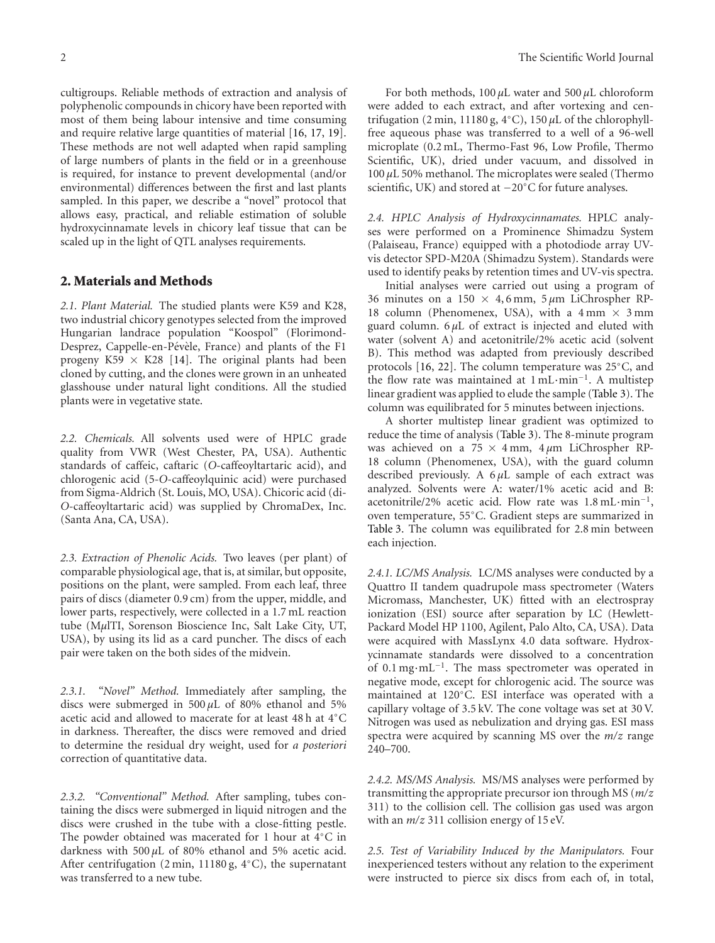cultigroups. Reliable methods of extraction and analysis of polyphenolic compounds in chicory have been reported with most of them being labour intensive and time consuming and require relative large quantities of material [16, 17, 19]. These methods are not well adapted when rapid sampling of large numbers of plants in the field or in a greenhouse is required, for instance to prevent developmental (and/or environmental) differences between the first and last plants sampled. In this paper, we describe a "novel" protocol that allows easy, practical, and reliable estimation of soluble hydroxycinnamate levels in chicory leaf tissue that can be scaled up in the light of QTL analyses requirements.

### **2. Materials and Methods**

*2.1. Plant Material.* The studied plants were K59 and K28, two industrial chicory genotypes selected from the improved Hungarian landrace population "Koospol" (Florimond-Desprez, Cappelle-en-Pévèle, France) and plants of the F1 progeny K59  $\times$  K28 [14]. The original plants had been cloned by cutting, and the clones were grown in an unheated glasshouse under natural light conditions. All the studied plants were in vegetative state.

*2.2. Chemicals.* All solvents used were of HPLC grade quality from VWR (West Chester, PA, USA). Authentic standards of caffeic, caftaric (*O*-caffeoyltartaric acid), and chlorogenic acid (5-*O*-caffeoylquinic acid) were purchased from Sigma-Aldrich (St. Louis, MO, USA). Chicoric acid (di-*O*-caffeoyltartaric acid) was supplied by ChromaDex, Inc. (Santa Ana, CA, USA).

*2.3. Extraction of Phenolic Acids.* Two leaves (per plant) of comparable physiological age, that is, at similar, but opposite, positions on the plant, were sampled. From each leaf, three pairs of discs (diameter 0.9 cm) from the upper, middle, and lower parts, respectively, were collected in a 1.7 mL reaction tube (M*µ*lTI, Sorenson Bioscience Inc, Salt Lake City, UT, USA), by using its lid as a card puncher. The discs of each pair were taken on the both sides of the midvein.

*2.3.1. "Novel" Method.* Immediately after sampling, the discs were submerged in 500 *µ*L of 80% ethanol and 5% acetic acid and allowed to macerate for at least 48 h at 4◦C in darkness. Thereafter, the discs were removed and dried to determine the residual dry weight, used for *a posteriori* correction of quantitative data.

*2.3.2. "Conventional" Method.* After sampling, tubes containing the discs were submerged in liquid nitrogen and the discs were crushed in the tube with a close-fitting pestle. The powder obtained was macerated for 1 hour at 4◦C in darkness with 500  $\mu$ L of 80% ethanol and 5% acetic acid. After centrifugation (2 min, 11180 g, 4◦C), the supernatant was transferred to a new tube.

For both methods, 100 *µ*L water and 500 *µ*L chloroform were added to each extract, and after vortexing and centrifugation (2 min, 11180 g,  $4°C$ ), 150  $\mu$ L of the chlorophyllfree aqueous phase was transferred to a well of a 96-well microplate (0.2 mL, Thermo-Fast 96, Low Profile, Thermo Scientific, UK), dried under vacuum, and dissolved in 100 *µ*L 50% methanol. The microplates were sealed (Thermo scientific, UK) and stored at −20◦C for future analyses.

*2.4. HPLC Analysis of Hydroxycinnamates.* HPLC analyses were performed on a Prominence Shimadzu System (Palaiseau, France) equipped with a photodiode array UVvis detector SPD-M20A (Shimadzu System). Standards were used to identify peaks by retention times and UV-vis spectra.

Initial analyses were carried out using a program of 36 minutes on a 150  $\times$  4,6 mm, 5  $\mu$ m LiChrospher RP-18 column (Phenomenex, USA), with a  $4 \text{ mm} \times 3 \text{ mm}$ guard column. 6 *µ*L of extract is injected and eluted with water (solvent A) and acetonitrile/2% acetic acid (solvent B). This method was adapted from previously described protocols [16, 22]. The column temperature was 25◦C, and the flow rate was maintained at 1 mL·min−1. A multistep linear gradient was applied to elude the sample (Table 3). The column was equilibrated for 5 minutes between injections.

A shorter multistep linear gradient was optimized to reduce the time of analysis (Table 3). The 8-minute program was achieved on a 75 <sup>×</sup> 4 mm, 4 *<sup>µ</sup>*m LiChrospher RP-18 column (Phenomenex, USA), with the guard column described previously. A 6 *µ*L sample of each extract was analyzed. Solvents were A: water/1% acetic acid and B: acetonitrile/2% acetic acid. Flow rate was 1.8 mL·min−1, oven temperature, 55◦C. Gradient steps are summarized in Table 3. The column was equilibrated for 2.8 min between each injection.

*2.4.1. LC/MS Analysis.* LC/MS analyses were conducted by a Quattro II tandem quadrupole mass spectrometer (Waters Micromass, Manchester, UK) fitted with an electrospray ionization (ESI) source after separation by LC (Hewlett-Packard Model HP 1100, Agilent, Palo Alto, CA, USA). Data were acquired with MassLynx 4.0 data software. Hydroxycinnamate standards were dissolved to a concentration of 0.1 mg·mL−1. The mass spectrometer was operated in negative mode, except for chlorogenic acid. The source was maintained at 120◦C. ESI interface was operated with a capillary voltage of 3.5 kV. The cone voltage was set at 30 V. Nitrogen was used as nebulization and drying gas. ESI mass spectra were acquired by scanning MS over the *m/z* range 240–700.

*2.4.2. MS/MS Analysis.* MS/MS analyses were performed by transmitting the appropriate precursor ion through MS (*m/z* 311) to the collision cell. The collision gas used was argon with an  $m/z$  311 collision energy of 15 eV.

*2.5. Test of Variability Induced by the Manipulators.* Four inexperienced testers without any relation to the experiment were instructed to pierce six discs from each of, in total,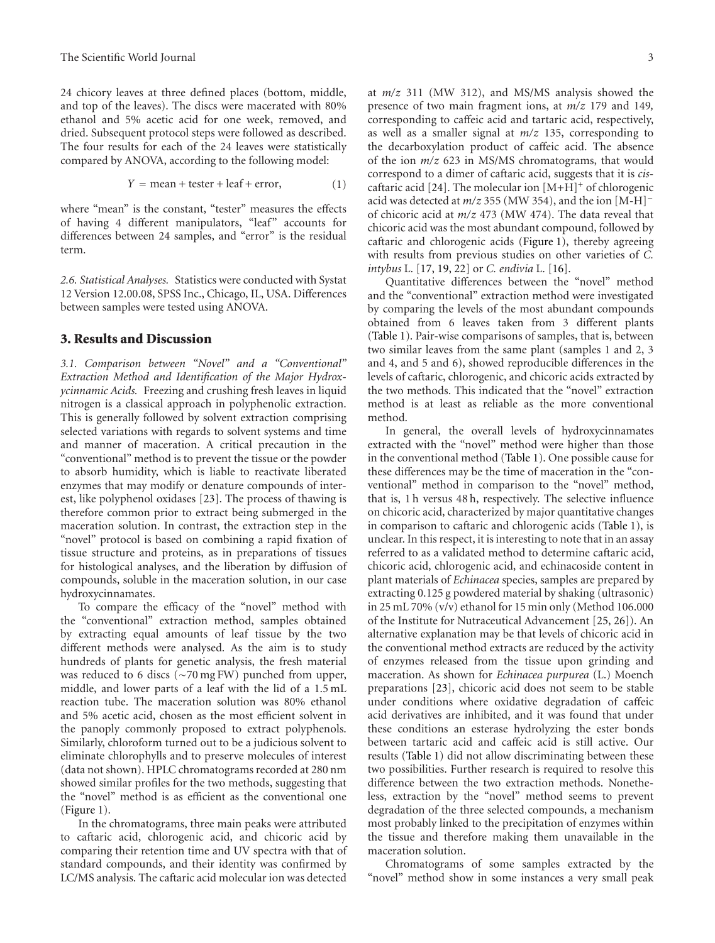24 chicory leaves at three defined places (bottom, middle, and top of the leaves). The discs were macerated with 80% ethanol and 5% acetic acid for one week, removed, and dried. Subsequent protocol steps were followed as described. The four results for each of the 24 leaves were statistically compared by ANOVA, according to the following model:

$$
Y = mean + \text{tester} + \text{leaf} + \text{error}, \tag{1}
$$

where "mean" is the constant, "tester" measures the effects of having 4 different manipulators, "leaf" accounts for differences between 24 samples, and "error" is the residual term.

*2.6. Statistical Analyses.* Statistics were conducted with Systat 12 Version 12.00.08, SPSS Inc., Chicago, IL, USA. Differences between samples were tested using ANOVA.

#### **3. Results and Discussion**

*3.1. Comparison between "Novel" and a "Conventional" Extraction Method and Identification of the Major Hydroxycinnamic Acids.* Freezing and crushing fresh leaves in liquid nitrogen is a classical approach in polyphenolic extraction. This is generally followed by solvent extraction comprising selected variations with regards to solvent systems and time and manner of maceration. A critical precaution in the "conventional" method is to prevent the tissue or the powder to absorb humidity, which is liable to reactivate liberated enzymes that may modify or denature compounds of interest, like polyphenol oxidases [23]. The process of thawing is therefore common prior to extract being submerged in the maceration solution. In contrast, the extraction step in the "novel" protocol is based on combining a rapid fixation of tissue structure and proteins, as in preparations of tissues for histological analyses, and the liberation by diffusion of compounds, soluble in the maceration solution, in our case hydroxycinnamates.

To compare the efficacy of the "novel" method with the "conventional" extraction method, samples obtained by extracting equal amounts of leaf tissue by the two different methods were analysed. As the aim is to study hundreds of plants for genetic analysis, the fresh material was reduced to 6 discs (∼70 mg FW) punched from upper, middle, and lower parts of a leaf with the lid of a 1.5 mL reaction tube. The maceration solution was 80% ethanol and 5% acetic acid, chosen as the most efficient solvent in the panoply commonly proposed to extract polyphenols. Similarly, chloroform turned out to be a judicious solvent to eliminate chlorophylls and to preserve molecules of interest (data not shown). HPLC chromatograms recorded at 280 nm showed similar profiles for the two methods, suggesting that the "novel" method is as efficient as the conventional one (Figure 1).

In the chromatograms, three main peaks were attributed to caftaric acid, chlorogenic acid, and chicoric acid by comparing their retention time and UV spectra with that of standard compounds, and their identity was confirmed by LC/MS analysis. The caftaric acid molecular ion was detected

at *m/z* 311 (MW 312), and MS/MS analysis showed the presence of two main fragment ions, at *m/z* 179 and 149*,* corresponding to caffeic acid and tartaric acid, respectively, as well as a smaller signal at *m/z* 135, corresponding to the decarboxylation product of caffeic acid. The absence of the ion *m/z* 623 in MS/MS chromatograms, that would correspond to a dimer of caftaric acid, suggests that it is *cis*caftaric acid [24]. The molecular ion  $[M+H]^+$  of chlorogenic acid was detected at *m/z* 355 (MW 354), and the ion [M-H]<sup>−</sup> of chicoric acid at *m/z* 473 (MW 474). The data reveal that chicoric acid was the most abundant compound, followed by caftaric and chlorogenic acids (Figure 1), thereby agreeing with results from previous studies on other varieties of *C. intybus* L. [17, 19, 22] or *C. endivia* L. [16].

Quantitative differences between the "novel" method and the "conventional" extraction method were investigated by comparing the levels of the most abundant compounds obtained from 6 leaves taken from 3 different plants (Table 1). Pair-wise comparisons of samples, that is, between two similar leaves from the same plant (samples 1 and 2, 3 and 4, and 5 and 6), showed reproducible differences in the levels of caftaric, chlorogenic, and chicoric acids extracted by the two methods. This indicated that the "novel" extraction method is at least as reliable as the more conventional method.

In general, the overall levels of hydroxycinnamates extracted with the "novel" method were higher than those in the conventional method (Table 1). One possible cause for these differences may be the time of maceration in the "conventional" method in comparison to the "novel" method, that is, 1 h versus 48 h, respectively. The selective influence on chicoric acid, characterized by major quantitative changes in comparison to caftaric and chlorogenic acids (Table 1), is unclear. In this respect, it is interesting to note that in an assay referred to as a validated method to determine caftaric acid, chicoric acid, chlorogenic acid, and echinacoside content in plant materials of *Echinacea* species, samples are prepared by extracting 0.125 g powdered material by shaking (ultrasonic) in 25 mL 70% (v/v) ethanol for 15 min only (Method 106.000 of the Institute for Nutraceutical Advancement [25, 26]). An alternative explanation may be that levels of chicoric acid in the conventional method extracts are reduced by the activity of enzymes released from the tissue upon grinding and maceration. As shown for *Echinacea purpurea* (L.) Moench preparations [23], chicoric acid does not seem to be stable under conditions where oxidative degradation of caffeic acid derivatives are inhibited, and it was found that under these conditions an esterase hydrolyzing the ester bonds between tartaric acid and caffeic acid is still active. Our results (Table 1) did not allow discriminating between these two possibilities. Further research is required to resolve this difference between the two extraction methods. Nonetheless, extraction by the "novel" method seems to prevent degradation of the three selected compounds, a mechanism most probably linked to the precipitation of enzymes within the tissue and therefore making them unavailable in the maceration solution.

Chromatograms of some samples extracted by the "novel" method show in some instances a very small peak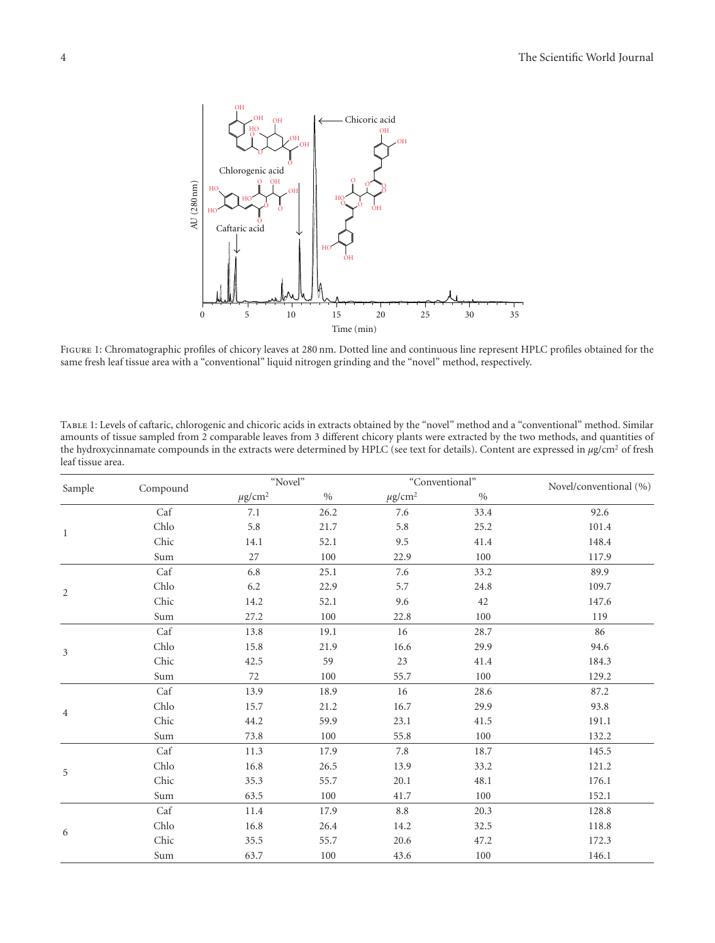

Figure 1: Chromatographic profiles of chicory leaves at 280 nm. Dotted line and continuous line represent HPLC profiles obtained for the same fresh leaf tissue area with a "conventional" liquid nitrogen grinding and the "novel" method, respectively.

Table 1: Levels of caftaric, chlorogenic and chicoric acids in extracts obtained by the "novel" method and a "conventional" method. Similar amounts of tissue sampled from 2 comparable leaves from 3 different chicory plants were extracted by the two methods, and quantities of the hydroxycinnamate compounds in the extracts were determined by HPLC (see text for details). Content are expressed in *µ*g/cm2 of fresh leaf tissue area.

| Sample         | Compound | "Novel"                 |      | "Conventional"          |      | Novel/conventional (%) |
|----------------|----------|-------------------------|------|-------------------------|------|------------------------|
|                |          | $\mu$ g/cm <sup>2</sup> | $\%$ | $\mu$ g/cm <sup>2</sup> | $\%$ |                        |
| $\mathbf{1}$   | Caf      | 7.1                     | 26.2 | 7.6                     | 33.4 | 92.6                   |
|                | Chlo     | 5.8                     | 21.7 | 5.8                     | 25.2 | 101.4                  |
|                | Chic     | 14.1                    | 52.1 | 9.5                     | 41.4 | 148.4                  |
|                | Sum      | $27\,$                  | 100  | 22.9                    | 100  | 117.9                  |
| $\overline{c}$ | Caf      | 6.8                     | 25.1 | 7.6                     | 33.2 | 89.9                   |
|                | Chlo     | 6.2                     | 22.9 | 5.7                     | 24.8 | 109.7                  |
|                | Chic     | 14.2                    | 52.1 | 9.6                     | 42   | 147.6                  |
|                | Sum      | 27.2                    | 100  | 22.8                    | 100  | 119                    |
|                | Caf      | 13.8                    | 19.1 | 16                      | 28.7 | 86                     |
| 3              | Chlo     | 15.8                    | 21.9 | 16.6                    | 29.9 | 94.6                   |
|                | Chic     | 42.5                    | 59   | $23\,$                  | 41.4 | 184.3                  |
|                | Sum      | 72                      | 100  | 55.7                    | 100  | 129.2                  |
|                | Caf      | 13.9                    | 18.9 | 16                      | 28.6 | 87.2                   |
| $\overline{4}$ | Chlo     | 15.7                    | 21.2 | 16.7                    | 29.9 | 93.8                   |
|                | Chic     | 44.2                    | 59.9 | 23.1                    | 41.5 | 191.1                  |
|                | Sum      | 73.8                    | 100  | 55.8                    | 100  | 132.2                  |
|                | Caf      | 11.3                    | 17.9 | 7.8                     | 18.7 | 145.5                  |
| 5              | Chlo     | 16.8                    | 26.5 | 13.9                    | 33.2 | 121.2                  |
|                | Chic     | 35.3                    | 55.7 | 20.1                    | 48.1 | 176.1                  |
|                | Sum      | 63.5                    | 100  | 41.7                    | 100  | 152.1                  |
| 6              | Caf      | 11.4                    | 17.9 | $8.8\,$                 | 20.3 | 128.8                  |
|                | Chlo     | 16.8                    | 26.4 | 14.2                    | 32.5 | 118.8                  |
|                | Chic     | 35.5                    | 55.7 | 20.6                    | 47.2 | 172.3                  |
|                | Sum      | 63.7                    | 100  | 43.6                    | 100  | 146.1                  |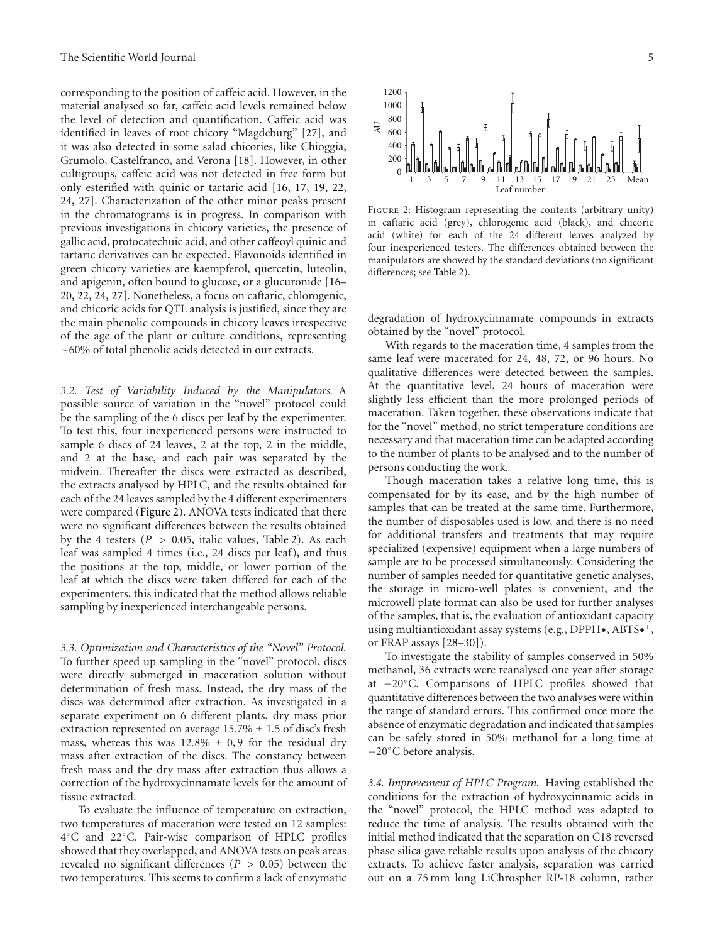corresponding to the position of caffeic acid. However, in the material analysed so far, caffeic acid levels remained below the level of detection and quantification. Caffeic acid was identified in leaves of root chicory "Magdeburg" [27], and it was also detected in some salad chicories, like Chioggia, Grumolo, Castelfranco, and Verona [18]. However, in other cultigroups, caffeic acid was not detected in free form but only esterified with quinic or tartaric acid [16, 17, 19, 22, 24, 27]. Characterization of the other minor peaks present in the chromatograms is in progress. In comparison with previous investigations in chicory varieties, the presence of gallic acid, protocatechuic acid, and other caffeoyl quinic and tartaric derivatives can be expected. Flavonoids identified in green chicory varieties are kaempferol, quercetin, luteolin, and apigenin, often bound to glucose, or a glucuronide [16– 20, 22, 24, 27]. Nonetheless, a focus on caftaric, chlorogenic, and chicoric acids for QTL analysis is justified, since they are the main phenolic compounds in chicory leaves irrespective of the age of the plant or culture conditions, representing ∼60% of total phenolic acids detected in our extracts.

*3.2. Test of Variability Induced by the Manipulators.* A possible source of variation in the "novel" protocol could be the sampling of the 6 discs per leaf by the experimenter. To test this, four inexperienced persons were instructed to sample 6 discs of 24 leaves, 2 at the top, 2 in the middle, and 2 at the base, and each pair was separated by the midvein. Thereafter the discs were extracted as described, the extracts analysed by HPLC, and the results obtained for each of the 24 leaves sampled by the 4 different experimenters were compared (Figure 2). ANOVA tests indicated that there were no significant differences between the results obtained by the 4 testers ( $P > 0.05$ , italic values, Table 2). As each leaf was sampled 4 times (i.e., 24 discs per leaf), and thus the positions at the top, middle, or lower portion of the leaf at which the discs were taken differed for each of the experimenters, this indicated that the method allows reliable sampling by inexperienced interchangeable persons.

*3.3. Optimization and Characteristics of the "Novel" Protocol.* To further speed up sampling in the "novel" protocol, discs were directly submerged in maceration solution without determination of fresh mass. Instead, the dry mass of the discs was determined after extraction. As investigated in a separate experiment on 6 different plants, dry mass prior extraction represented on average  $15.7\% \pm 1.5$  of disc's fresh mass, whereas this was  $12.8\% \pm 0.9$  for the residual dry mass after extraction of the discs. The constancy between fresh mass and the dry mass after extraction thus allows a correction of the hydroxycinnamate levels for the amount of tissue extracted.

To evaluate the influence of temperature on extraction, two temperatures of maceration were tested on 12 samples: 4◦C and 22◦C. Pair-wise comparison of HPLC profiles showed that they overlapped, and ANOVA tests on peak areas revealed no significant differences (*P >* 0*.*05) between the two temperatures. This seems to confirm a lack of enzymatic



Leaf number

AU

Figure 2: Histogram representing the contents (arbitrary unity) in caftaric acid (grey), chlorogenic acid (black), and chicoric acid (white) for each of the 24 different leaves analyzed by four inexperienced testers. The differences obtained between the manipulators are showed by the standard deviations (no significant differences; see Table 2).

degradation of hydroxycinnamate compounds in extracts obtained by the "novel" protocol.

With regards to the maceration time, 4 samples from the same leaf were macerated for 24, 48, 72, or 96 hours. No qualitative differences were detected between the samples. At the quantitative level, 24 hours of maceration were slightly less efficient than the more prolonged periods of maceration. Taken together, these observations indicate that for the "novel" method, no strict temperature conditions are necessary and that maceration time can be adapted according to the number of plants to be analysed and to the number of persons conducting the work.

Though maceration takes a relative long time, this is compensated for by its ease, and by the high number of samples that can be treated at the same time. Furthermore, the number of disposables used is low, and there is no need for additional transfers and treatments that may require specialized (expensive) equipment when a large numbers of sample are to be processed simultaneously. Considering the number of samples needed for quantitative genetic analyses, the storage in micro-well plates is convenient, and the microwell plate format can also be used for further analyses of the samples, that is, the evaluation of antioxidant capacity using multiantioxidant assay systems (e.g., DPPH $\bullet$ , ABTS $\bullet^+$ , or FRAP assays [28–30]).

To investigate the stability of samples conserved in 50% methanol, 36 extracts were reanalysed one year after storage at −20◦C. Comparisons of HPLC profiles showed that quantitative differences between the two analyses were within the range of standard errors. This confirmed once more the absence of enzymatic degradation and indicated that samples can be safely stored in 50% methanol for a long time at −20◦C before analysis.

*3.4. Improvement of HPLC Program.* Having established the conditions for the extraction of hydroxycinnamic acids in the "novel" protocol, the HPLC method was adapted to reduce the time of analysis. The results obtained with the initial method indicated that the separation on C18 reversed phase silica gave reliable results upon analysis of the chicory extracts. To achieve faster analysis, separation was carried out on a 75 mm long LiChrospher RP-18 column, rather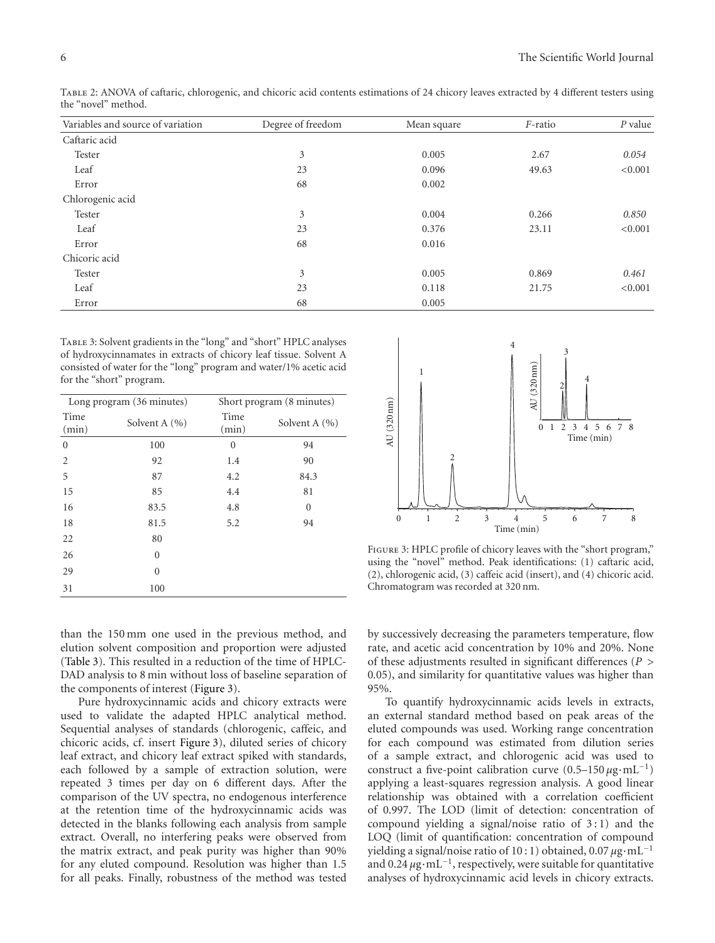| Variables and source of variation | Degree of freedom | Mean square | F-ratio | $P$ value |
|-----------------------------------|-------------------|-------------|---------|-----------|
| Caftaric acid                     |                   |             |         |           |
| Tester                            | 3                 | 0.005       | 2.67    | 0.054     |
| Leaf                              | 23                | 0.096       | 49.63   | < 0.001   |
| Error                             | 68                | 0.002       |         |           |
| Chlorogenic acid                  |                   |             |         |           |
| Tester                            | 3                 | 0.004       | 0.266   | 0.850     |
| Leaf                              | 23                | 0.376       | 23.11   | < 0.001   |
| Error                             | 68                | 0.016       |         |           |
| Chicoric acid                     |                   |             |         |           |
| Tester                            | 3                 | 0.005       | 0.869   | 0.461     |
| Leaf                              | 23                | 0.118       | 21.75   | < 0.001   |
| Error                             | 68                | 0.005       |         |           |

Table 2: ANOVA of caftaric, chlorogenic, and chicoric acid contents estimations of 24 chicory leaves extracted by 4 different testers using the "novel" method.

Table 3: Solvent gradients in the "long" and "short" HPLC analyses of hydroxycinnamates in extracts of chicory leaf tissue. Solvent A consisted of water for the "long" program and water/1% acetic acid for the "short" program.

|               | Long program (36 minutes) | Short program (8 minutes) |                  |  |
|---------------|---------------------------|---------------------------|------------------|--|
| Time<br>(min) | Solvent A $(\% )$         | Time<br>(min)             | Solvent A $(% )$ |  |
| $\theta$      | 100                       | $\theta$                  | 94               |  |
| 2             | 92                        | 1.4                       | 90               |  |
| 5             | 87                        | 4.2                       | 84.3             |  |
| 15            | 85                        | 4.4                       | 81               |  |
| 16            | 83.5                      | 4.8                       | $\mathbf{0}$     |  |
| 18            | 81.5                      | 5.2                       | 94               |  |
| 22            | 80                        |                           |                  |  |
| 26            | $\theta$                  |                           |                  |  |
| 29            | $\theta$                  |                           |                  |  |
| 31            | 100                       |                           |                  |  |

than the 150 mm one used in the previous method, and elution solvent composition and proportion were adjusted (Table 3). This resulted in a reduction of the time of HPLC-DAD analysis to 8 min without loss of baseline separation of the components of interest (Figure 3).

Pure hydroxycinnamic acids and chicory extracts were used to validate the adapted HPLC analytical method. Sequential analyses of standards (chlorogenic, caffeic, and chicoric acids, cf. insert Figure 3), diluted series of chicory leaf extract, and chicory leaf extract spiked with standards, each followed by a sample of extraction solution, were repeated 3 times per day on 6 different days. After the comparison of the UV spectra, no endogenous interference at the retention time of the hydroxycinnamic acids was detected in the blanks following each analysis from sample extract. Overall, no interfering peaks were observed from the matrix extract, and peak purity was higher than 90% for any eluted compound. Resolution was higher than 1.5 for all peaks. Finally, robustness of the method was tested



FIGURE 3: HPLC profile of chicory leaves with the "short program," using the "novel" method. Peak identifications: (1) caftaric acid, (2), chlorogenic acid, (3) caffeic acid (insert), and (4) chicoric acid. Chromatogram was recorded at 320 nm.

by successively decreasing the parameters temperature, flow rate, and acetic acid concentration by 10% and 20%. None of these adjustments resulted in significant differences (*P >* 0*.*05), and similarity for quantitative values was higher than 95%.

To quantify hydroxycinnamic acids levels in extracts, an external standard method based on peak areas of the eluted compounds was used. Working range concentration for each compound was estimated from dilution series of a sample extract, and chlorogenic acid was used to construct a five-point calibration curve (0.5–150 *<sup>µ</sup>*g·mL−1) applying a least-squares regression analysis. A good linear relationship was obtained with a correlation coefficient of 0.997. The LOD (limit of detection: concentration of compound yielding a signal/noise ratio of 3 : 1) and the LOQ (limit of quantification: concentration of compound yielding a signal/noise ratio of 10 : 1) obtained, 0.07 *<sup>µ</sup>*g·mL−<sup>1</sup> and 0.24 *<sup>µ</sup>*g·mL−1, respectively, were suitable for quantitative analyses of hydroxycinnamic acid levels in chicory extracts.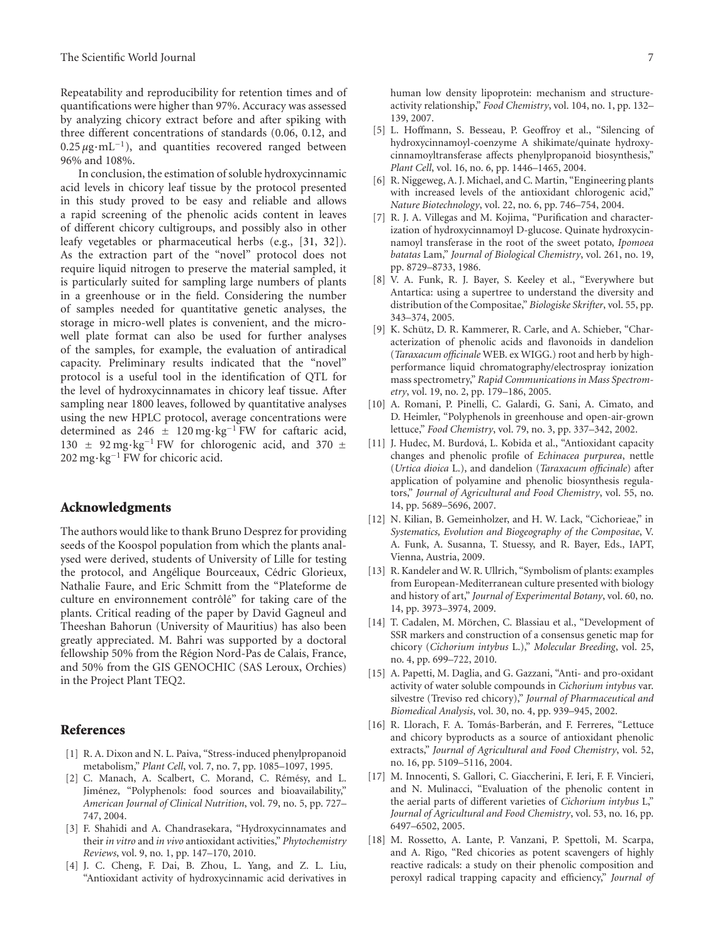Repeatability and reproducibility for retention times and of quantifications were higher than 97%. Accuracy was assessed by analyzing chicory extract before and after spiking with three different concentrations of standards (0.06, 0.12, and  $0.25 \mu$ g·mL<sup>-1</sup>), and quantities recovered ranged between 96% and 108%.

In conclusion, the estimation of soluble hydroxycinnamic acid levels in chicory leaf tissue by the protocol presented in this study proved to be easy and reliable and allows a rapid screening of the phenolic acids content in leaves of different chicory cultigroups, and possibly also in other leafy vegetables or pharmaceutical herbs (e.g., [31, 32]). As the extraction part of the "novel" protocol does not require liquid nitrogen to preserve the material sampled, it is particularly suited for sampling large numbers of plants in a greenhouse or in the field. Considering the number of samples needed for quantitative genetic analyses, the storage in micro-well plates is convenient, and the microwell plate format can also be used for further analyses of the samples, for example, the evaluation of antiradical capacity. Preliminary results indicated that the "novel" protocol is a useful tool in the identification of QTL for the level of hydroxycinnamates in chicory leaf tissue. After sampling near 1800 leaves, followed by quantitative analyses using the new HPLC protocol, average concentrations were determined as 246 <sup>±</sup> 120 mg·kg−<sup>1</sup> FW for caftaric acid,  $130 \pm 92$  mg⋅kg<sup>-1</sup> FW for chlorogenic acid, and 370 ± 202 mg·kg−<sup>1</sup> FW for chicoric acid.

#### **Acknowledgments**

The authors would like to thank Bruno Desprez for providing seeds of the Koospol population from which the plants analysed were derived, students of University of Lille for testing the protocol, and Angélique Bourceaux, Cédric Glorieux, Nathalie Faure, and Eric Schmitt from the "Plateforme de culture en environnement contrôlé" for taking care of the plants. Critical reading of the paper by David Gagneul and Theeshan Bahorun (University of Mauritius) has also been greatly appreciated. M. Bahri was supported by a doctoral fellowship 50% from the Région Nord-Pas de Calais, France, and 50% from the GIS GENOCHIC (SAS Leroux, Orchies) in the Project Plant TEQ2.

#### **References**

- [1] R. A. Dixon and N. L. Paiva, "Stress-induced phenylpropanoid metabolism," *Plant Cell*, vol. 7, no. 7, pp. 1085–1097, 1995.
- [2] C. Manach, A. Scalbert, C. Morand, C. Rémésy, and L. Jiménez, "Polyphenols: food sources and bioavailability," *American Journal of Clinical Nutrition*, vol. 79, no. 5, pp. 727– 747, 2004.
- [3] F. Shahidi and A. Chandrasekara, "Hydroxycinnamates and their *in vitro* and *in vivo* antioxidant activities," *Phytochemistry Reviews*, vol. 9, no. 1, pp. 147–170, 2010.
- [4] J. C. Cheng, F. Dai, B. Zhou, L. Yang, and Z. L. Liu, "Antioxidant activity of hydroxycinnamic acid derivatives in

human low density lipoprotein: mechanism and structureactivity relationship," *Food Chemistry*, vol. 104, no. 1, pp. 132– 139, 2007.

- [5] L. Hoffmann, S. Besseau, P. Geoffroy et al., "Silencing of hydroxycinnamoyl-coenzyme A shikimate/quinate hydroxycinnamoyltransferase affects phenylpropanoid biosynthesis," *Plant Cell*, vol. 16, no. 6, pp. 1446–1465, 2004.
- [6] R. Niggeweg, A. J. Michael, and C. Martin, "Engineering plants with increased levels of the antioxidant chlorogenic acid," *Nature Biotechnology*, vol. 22, no. 6, pp. 746–754, 2004.
- [7] R. J. A. Villegas and M. Kojima, "Purification and characterization of hydroxycinnamoyl D-glucose. Quinate hydroxycinnamoyl transferase in the root of the sweet potato, *Ipomoea batatas* Lam," *Journal of Biological Chemistry*, vol. 261, no. 19, pp. 8729–8733, 1986.
- [8] V. A. Funk, R. J. Bayer, S. Keeley et al., "Everywhere but Antartica: using a supertree to understand the diversity and distribution of the Compositae," *Biologiske Skrifter*, vol. 55, pp. 343–374, 2005.
- [9] K. Schütz, D. R. Kammerer, R. Carle, and A. Schieber, "Characterization of phenolic acids and flavonoids in dandelion (*Taraxacum officinale* WEB. ex WIGG.) root and herb by highperformance liquid chromatography/electrospray ionization mass spectrometry," *Rapid Communications in Mass Spectrometry*, vol. 19, no. 2, pp. 179–186, 2005.
- [10] A. Romani, P. Pinelli, C. Galardi, G. Sani, A. Cimato, and D. Heimler, "Polyphenols in greenhouse and open-air-grown lettuce," *Food Chemistry*, vol. 79, no. 3, pp. 337–342, 2002.
- [11] J. Hudec, M. Burdová, L. Kobida et al., "Antioxidant capacity changes and phenolic profile of *Echinacea purpurea*, nettle (*Urtica dioica* L.), and dandelion (*Taraxacum officinale*) after application of polyamine and phenolic biosynthesis regulators," *Journal of Agricultural and Food Chemistry*, vol. 55, no. 14, pp. 5689–5696, 2007.
- [12] N. Kilian, B. Gemeinholzer, and H. W. Lack, "Cichorieae," in *Systematics, Evolution and Biogeography of the Compositae*, V. A. Funk, A. Susanna, T. Stuessy, and R. Bayer, Eds., IAPT, Vienna, Austria, 2009.
- [13] R. Kandeler and W. R. Ullrich, "Symbolism of plants: examples from European-Mediterranean culture presented with biology and history of art," *Journal of Experimental Botany*, vol. 60, no. 14, pp. 3973–3974, 2009.
- [14] T. Cadalen, M. Mörchen, C. Blassiau et al., "Development of SSR markers and construction of a consensus genetic map for chicory (*Cichorium intybus* L.)," *Molecular Breeding*, vol. 25, no. 4, pp. 699–722, 2010.
- [15] A. Papetti, M. Daglia, and G. Gazzani, "Anti- and pro-oxidant activity of water soluble compounds in *Cichorium intybus* var. silvestre (Treviso red chicory)," *Journal of Pharmaceutical and Biomedical Analysis*, vol. 30, no. 4, pp. 939–945, 2002.
- [16] R. Llorach, F. A. Tomás-Barberán, and F. Ferreres, "Lettuce and chicory byproducts as a source of antioxidant phenolic extracts," *Journal of Agricultural and Food Chemistry*, vol. 52, no. 16, pp. 5109–5116, 2004.
- [17] M. Innocenti, S. Gallori, C. Giaccherini, F. Ieri, F. F. Vincieri, and N. Mulinacci, "Evaluation of the phenolic content in the aerial parts of different varieties of *Cichorium intybus* L," *Journal of Agricultural and Food Chemistry*, vol. 53, no. 16, pp. 6497–6502, 2005.
- [18] M. Rossetto, A. Lante, P. Vanzani, P. Spettoli, M. Scarpa, and A. Rigo, "Red chicories as potent scavengers of highly reactive radicals: a study on their phenolic composition and peroxyl radical trapping capacity and efficiency," *Journal of*